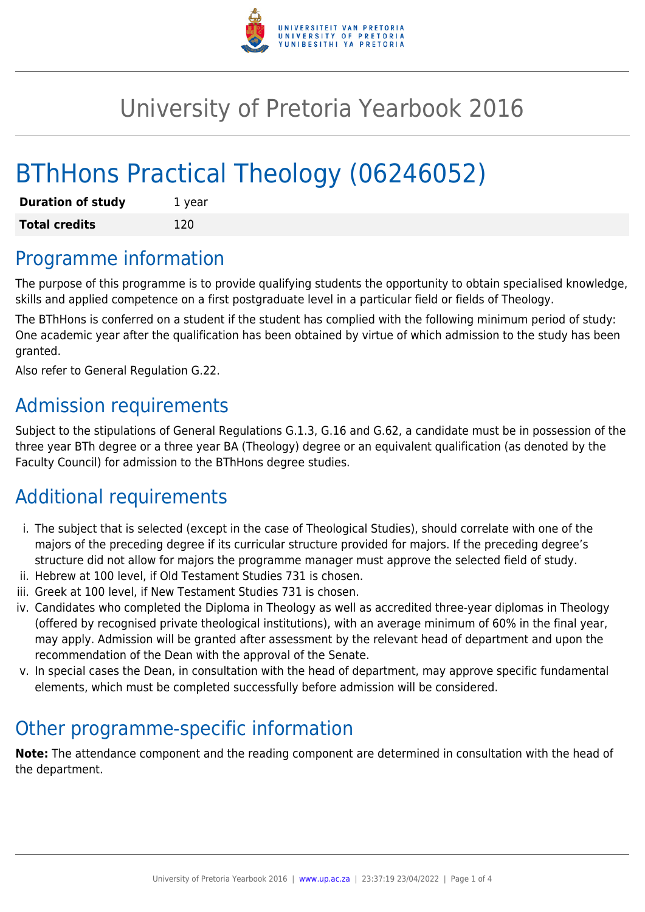

# University of Pretoria Yearbook 2016

# BThHons Practical Theology (06246052)

| <b>Duration of study</b> | 1 year |
|--------------------------|--------|
| <b>Total credits</b>     | 120    |

## Programme information

The purpose of this programme is to provide qualifying students the opportunity to obtain specialised knowledge, skills and applied competence on a first postgraduate level in a particular field or fields of Theology.

The BThHons is conferred on a student if the student has complied with the following minimum period of study: One academic year after the qualification has been obtained by virtue of which admission to the study has been granted.

Also refer to General Regulation G.22.

## Admission requirements

Subject to the stipulations of General Regulations G.1.3, G.16 and G.62, a candidate must be in possession of the three year BTh degree or a three year BA (Theology) degree or an equivalent qualification (as denoted by the Faculty Council) for admission to the BThHons degree studies.

# Additional requirements

- i. The subject that is selected (except in the case of Theological Studies), should correlate with one of the majors of the preceding degree if its curricular structure provided for majors. If the preceding degree's structure did not allow for majors the programme manager must approve the selected field of study.
- ii. Hebrew at 100 level, if Old Testament Studies 731 is chosen.
- iii. Greek at 100 level, if New Testament Studies 731 is chosen.
- iv. Candidates who completed the Diploma in Theology as well as accredited three-year diplomas in Theology (offered by recognised private theological institutions), with an average minimum of 60% in the final year, may apply. Admission will be granted after assessment by the relevant head of department and upon the recommendation of the Dean with the approval of the Senate.
- v. In special cases the Dean, in consultation with the head of department, may approve specific fundamental elements, which must be completed successfully before admission will be considered.

# Other programme-specific information

**Note:** The attendance component and the reading component are determined in consultation with the head of the department.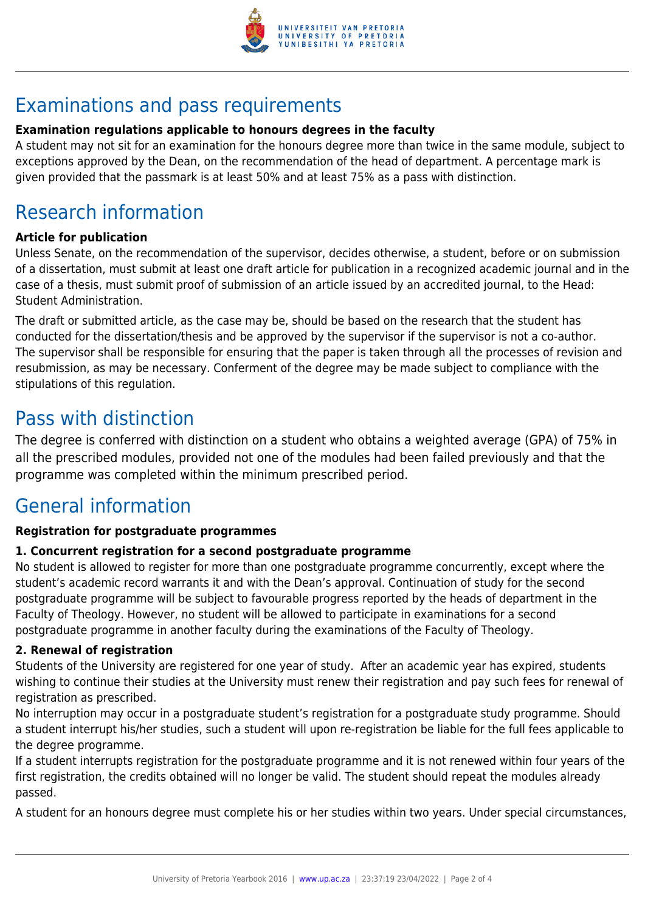

# Examinations and pass requirements

#### **Examination regulations applicable to honours degrees in the faculty**

A student may not sit for an examination for the honours degree more than twice in the same module, subject to exceptions approved by the Dean, on the recommendation of the head of department. A percentage mark is given provided that the passmark is at least 50% and at least 75% as a pass with distinction.

# Research information

#### **Article for publication**

Unless Senate, on the recommendation of the supervisor, decides otherwise, a student, before or on submission of a dissertation, must submit at least one draft article for publication in a recognized academic journal and in the case of a thesis, must submit proof of submission of an article issued by an accredited journal, to the Head: Student Administration.

The draft or submitted article, as the case may be, should be based on the research that the student has conducted for the dissertation/thesis and be approved by the supervisor if the supervisor is not a co-author. The supervisor shall be responsible for ensuring that the paper is taken through all the processes of revision and resubmission, as may be necessary. Conferment of the degree may be made subject to compliance with the stipulations of this regulation.

## Pass with distinction

The degree is conferred with distinction on a student who obtains a weighted average (GPA) of 75% in all the prescribed modules, provided not one of the modules had been failed previously and that the programme was completed within the minimum prescribed period.

# General information

#### **Registration for postgraduate programmes**

#### **1. Concurrent registration for a second postgraduate programme**

No student is allowed to register for more than one postgraduate programme concurrently, except where the student's academic record warrants it and with the Dean's approval. Continuation of study for the second postgraduate programme will be subject to favourable progress reported by the heads of department in the Faculty of Theology. However, no student will be allowed to participate in examinations for a second postgraduate programme in another faculty during the examinations of the Faculty of Theology.

#### **2. Renewal of registration**

Students of the University are registered for one year of study. After an academic year has expired, students wishing to continue their studies at the University must renew their registration and pay such fees for renewal of registration as prescribed.

No interruption may occur in a postgraduate student's registration for a postgraduate study programme. Should a student interrupt his/her studies, such a student will upon re-registration be liable for the full fees applicable to the degree programme.

If a student interrupts registration for the postgraduate programme and it is not renewed within four years of the first registration, the credits obtained will no longer be valid. The student should repeat the modules already passed.

A student for an honours degree must complete his or her studies within two years. Under special circumstances,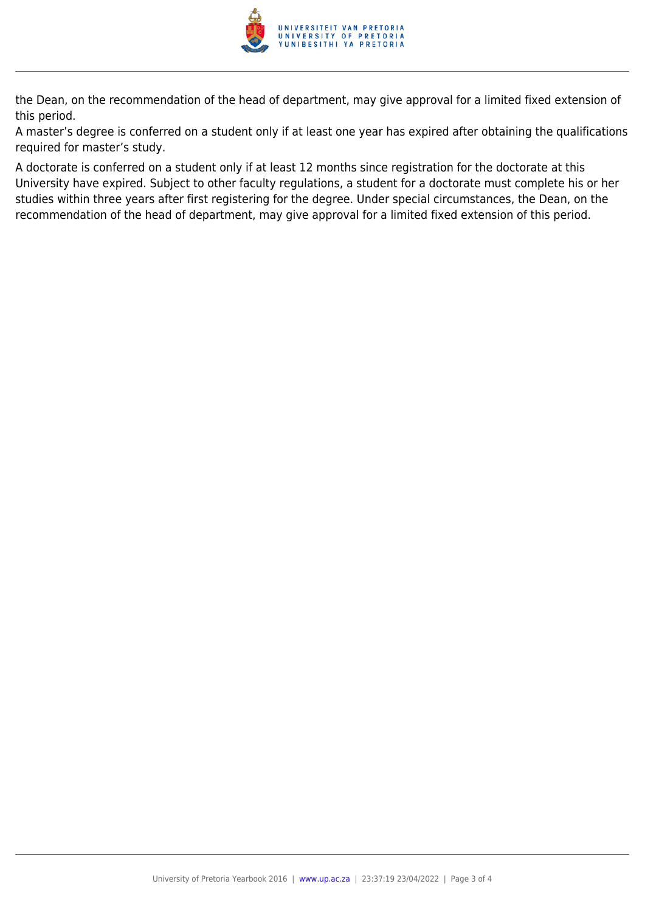

the Dean, on the recommendation of the head of department, may give approval for a limited fixed extension of this period.

A master's degree is conferred on a student only if at least one year has expired after obtaining the qualifications required for master's study.

A doctorate is conferred on a student only if at least 12 months since registration for the doctorate at this University have expired. Subject to other faculty regulations, a student for a doctorate must complete his or her studies within three years after first registering for the degree. Under special circumstances, the Dean, on the recommendation of the head of department, may give approval for a limited fixed extension of this period.